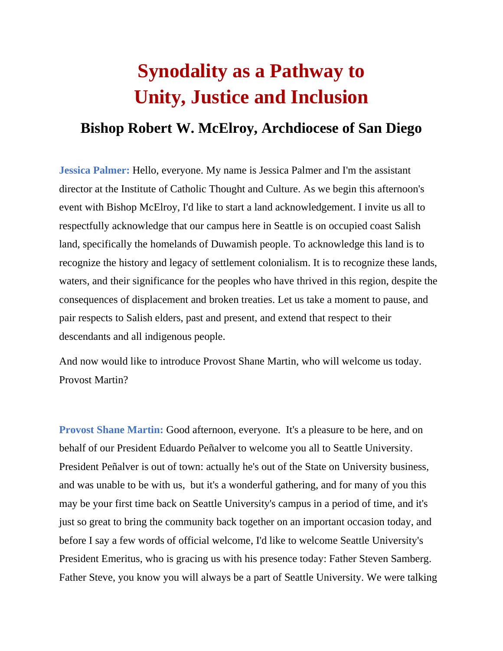# **Synodality as a Pathway to Unity, Justice and Inclusion**

### **Bishop Robert W. McElroy, Archdiocese of San Diego**

**Jessica Palmer:** Hello, everyone. My name is Jessica Palmer and I'm the assistant director at the Institute of Catholic Thought and Culture. As we begin this afternoon's event with Bishop McElroy, I'd like to start a land acknowledgement. I invite us all to respectfully acknowledge that our campus here in Seattle is on occupied coast Salish land, specifically the homelands of Duwamish people. To acknowledge this land is to recognize the history and legacy of settlement colonialism. It is to recognize these lands, waters, and their significance for the peoples who have thrived in this region, despite the consequences of displacement and broken treaties. Let us take a moment to pause, and pair respects to Salish elders, past and present, and extend that respect to their descendants and all indigenous people.

And now would like to introduce Provost Shane Martin, who will welcome us today. Provost Martin?

**Provost Shane Martin:** Good afternoon, everyone. It's a pleasure to be here, and on behalf of our President Eduardo Peñalver to welcome you all to Seattle University. President Peñalver is out of town: actually he's out of the State on University business, and was unable to be with us, but it's a wonderful gathering, and for many of you this may be your first time back on Seattle University's campus in a period of time, and it's just so great to bring the community back together on an important occasion today, and before I say a few words of official welcome, I'd like to welcome Seattle University's President Emeritus, who is gracing us with his presence today: Father Steven Samberg. Father Steve, you know you will always be a part of Seattle University. We were talking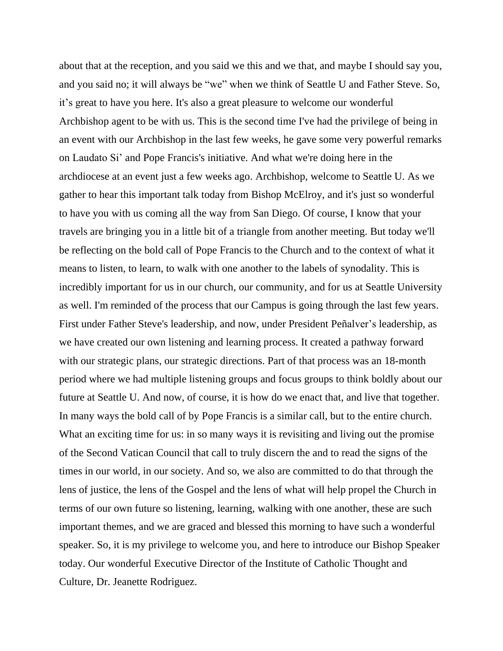about that at the reception, and you said we this and we that, and maybe I should say you, and you said no; it will always be "we" when we think of Seattle U and Father Steve. So, it's great to have you here. It's also a great pleasure to welcome our wonderful Archbishop agent to be with us. This is the second time I've had the privilege of being in an event with our Archbishop in the last few weeks, he gave some very powerful remarks on Laudato Si' and Pope Francis's initiative. And what we're doing here in the archdiocese at an event just a few weeks ago. Archbishop, welcome to Seattle U. As we gather to hear this important talk today from Bishop McElroy, and it's just so wonderful to have you with us coming all the way from San Diego. Of course, I know that your travels are bringing you in a little bit of a triangle from another meeting. But today we'll be reflecting on the bold call of Pope Francis to the Church and to the context of what it means to listen, to learn, to walk with one another to the labels of synodality. This is incredibly important for us in our church, our community, and for us at Seattle University as well. I'm reminded of the process that our Campus is going through the last few years. First under Father Steve's leadership, and now, under President Peñalver's leadership, as we have created our own listening and learning process. It created a pathway forward with our strategic plans, our strategic directions. Part of that process was an 18-month period where we had multiple listening groups and focus groups to think boldly about our future at Seattle U. And now, of course, it is how do we enact that, and live that together. In many ways the bold call of by Pope Francis is a similar call, but to the entire church. What an exciting time for us: in so many ways it is revisiting and living out the promise of the Second Vatican Council that call to truly discern the and to read the signs of the times in our world, in our society. And so, we also are committed to do that through the lens of justice, the lens of the Gospel and the lens of what will help propel the Church in terms of our own future so listening, learning, walking with one another, these are such important themes, and we are graced and blessed this morning to have such a wonderful speaker. So, it is my privilege to welcome you, and here to introduce our Bishop Speaker today. Our wonderful Executive Director of the Institute of Catholic Thought and Culture, Dr. Jeanette Rodriguez.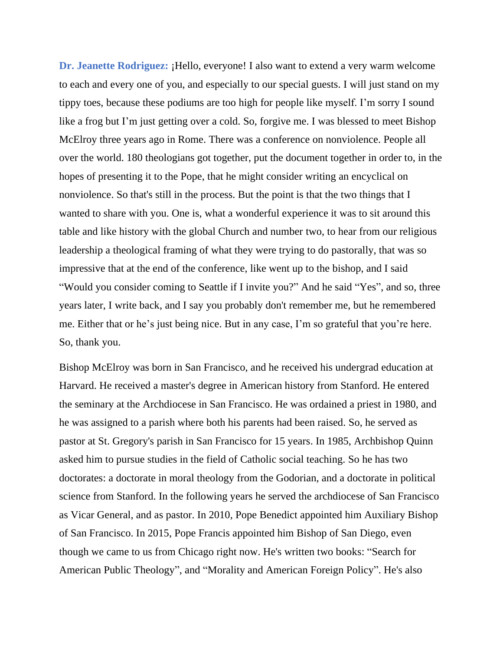**Dr. Jeanette Rodriguez:** ¡Hello, everyone! I also want to extend a very warm welcome to each and every one of you, and especially to our special guests. I will just stand on my tippy toes, because these podiums are too high for people like myself. I'm sorry I sound like a frog but I'm just getting over a cold. So, forgive me. I was blessed to meet Bishop McElroy three years ago in Rome. There was a conference on nonviolence. People all over the world. 180 theologians got together, put the document together in order to, in the hopes of presenting it to the Pope, that he might consider writing an encyclical on nonviolence. So that's still in the process. But the point is that the two things that I wanted to share with you. One is, what a wonderful experience it was to sit around this table and like history with the global Church and number two, to hear from our religious leadership a theological framing of what they were trying to do pastorally, that was so impressive that at the end of the conference, like went up to the bishop, and I said "Would you consider coming to Seattle if I invite you?" And he said "Yes", and so, three years later, I write back, and I say you probably don't remember me, but he remembered me. Either that or he's just being nice. But in any case, I'm so grateful that you're here. So, thank you.

Bishop McElroy was born in San Francisco, and he received his undergrad education at Harvard. He received a master's degree in American history from Stanford. He entered the seminary at the Archdiocese in San Francisco. He was ordained a priest in 1980, and he was assigned to a parish where both his parents had been raised. So, he served as pastor at St. Gregory's parish in San Francisco for 15 years. In 1985, Archbishop Quinn asked him to pursue studies in the field of Catholic social teaching. So he has two doctorates: a doctorate in moral theology from the Godorian, and a doctorate in political science from Stanford. In the following years he served the archdiocese of San Francisco as Vicar General, and as pastor. In 2010, Pope Benedict appointed him Auxiliary Bishop of San Francisco. In 2015, Pope Francis appointed him Bishop of San Diego, even though we came to us from Chicago right now. He's written two books: "Search for American Public Theology", and "Morality and American Foreign Policy". He's also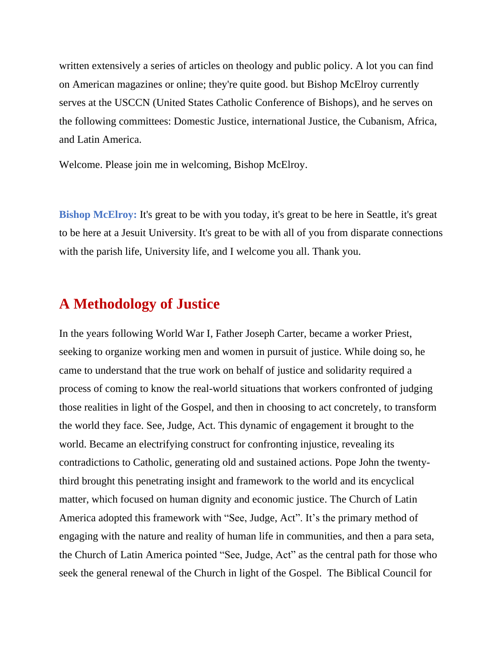written extensively a series of articles on theology and public policy. A lot you can find on American magazines or online; they're quite good. but Bishop McElroy currently serves at the USCCN (United States Catholic Conference of Bishops), and he serves on the following committees: Domestic Justice, international Justice, the Cubanism, Africa, and Latin America.

Welcome. Please join me in welcoming, Bishop McElroy.

**Bishop McElroy:** It's great to be with you today, it's great to be here in Seattle, it's great to be here at a Jesuit University. It's great to be with all of you from disparate connections with the parish life, University life, and I welcome you all. Thank you.

### **A Methodology of Justice**

In the years following World War I, Father Joseph Carter, became a worker Priest, seeking to organize working men and women in pursuit of justice. While doing so, he came to understand that the true work on behalf of justice and solidarity required a process of coming to know the real-world situations that workers confronted of judging those realities in light of the Gospel, and then in choosing to act concretely, to transform the world they face. See, Judge, Act. This dynamic of engagement it brought to the world. Became an electrifying construct for confronting injustice, revealing its contradictions to Catholic, generating old and sustained actions. Pope John the twentythird brought this penetrating insight and framework to the world and its encyclical matter, which focused on human dignity and economic justice. The Church of Latin America adopted this framework with "See, Judge, Act". It's the primary method of engaging with the nature and reality of human life in communities, and then a para seta, the Church of Latin America pointed "See, Judge, Act" as the central path for those who seek the general renewal of the Church in light of the Gospel. The Biblical Council for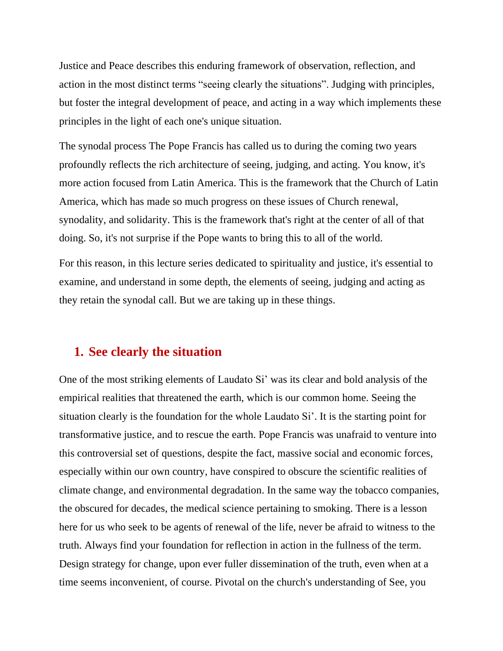Justice and Peace describes this enduring framework of observation, reflection, and action in the most distinct terms "seeing clearly the situations". Judging with principles, but foster the integral development of peace, and acting in a way which implements these principles in the light of each one's unique situation.

The synodal process The Pope Francis has called us to during the coming two years profoundly reflects the rich architecture of seeing, judging, and acting. You know, it's more action focused from Latin America. This is the framework that the Church of Latin America, which has made so much progress on these issues of Church renewal, synodality, and solidarity. This is the framework that's right at the center of all of that doing. So, it's not surprise if the Pope wants to bring this to all of the world.

For this reason, in this lecture series dedicated to spirituality and justice, it's essential to examine, and understand in some depth, the elements of seeing, judging and acting as they retain the synodal call. But we are taking up in these things.

### **1. See clearly the situation**

One of the most striking elements of Laudato Si' was its clear and bold analysis of the empirical realities that threatened the earth, which is our common home. Seeing the situation clearly is the foundation for the whole Laudato Si'. It is the starting point for transformative justice, and to rescue the earth. Pope Francis was unafraid to venture into this controversial set of questions, despite the fact, massive social and economic forces, especially within our own country, have conspired to obscure the scientific realities of climate change, and environmental degradation. In the same way the tobacco companies, the obscured for decades, the medical science pertaining to smoking. There is a lesson here for us who seek to be agents of renewal of the life, never be afraid to witness to the truth. Always find your foundation for reflection in action in the fullness of the term. Design strategy for change, upon ever fuller dissemination of the truth, even when at a time seems inconvenient, of course. Pivotal on the church's understanding of See, you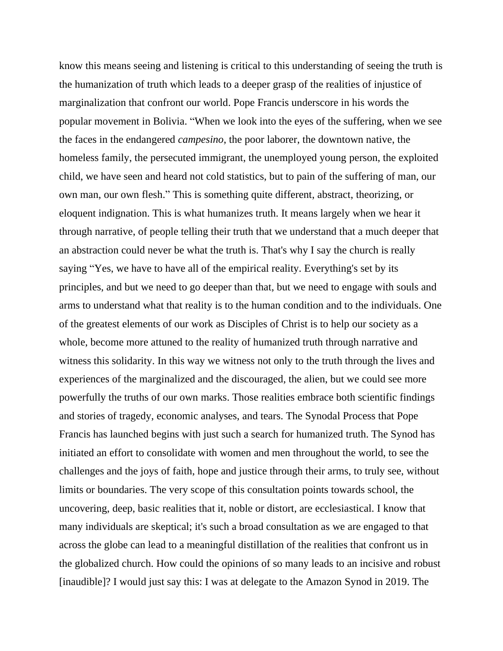know this means seeing and listening is critical to this understanding of seeing the truth is the humanization of truth which leads to a deeper grasp of the realities of injustice of marginalization that confront our world. Pope Francis underscore in his words the popular movement in Bolivia. "When we look into the eyes of the suffering, when we see the faces in the endangered *campesino*, the poor laborer, the downtown native, the homeless family, the persecuted immigrant, the unemployed young person, the exploited child, we have seen and heard not cold statistics, but to pain of the suffering of man, our own man, our own flesh." This is something quite different, abstract, theorizing, or eloquent indignation. This is what humanizes truth. It means largely when we hear it through narrative, of people telling their truth that we understand that a much deeper that an abstraction could never be what the truth is. That's why I say the church is really saying "Yes, we have to have all of the empirical reality. Everything's set by its principles, and but we need to go deeper than that, but we need to engage with souls and arms to understand what that reality is to the human condition and to the individuals. One of the greatest elements of our work as Disciples of Christ is to help our society as a whole, become more attuned to the reality of humanized truth through narrative and witness this solidarity. In this way we witness not only to the truth through the lives and experiences of the marginalized and the discouraged, the alien, but we could see more powerfully the truths of our own marks. Those realities embrace both scientific findings and stories of tragedy, economic analyses, and tears. The Synodal Process that Pope Francis has launched begins with just such a search for humanized truth. The Synod has initiated an effort to consolidate with women and men throughout the world, to see the challenges and the joys of faith, hope and justice through their arms, to truly see, without limits or boundaries. The very scope of this consultation points towards school, the uncovering, deep, basic realities that it, noble or distort, are ecclesiastical. I know that many individuals are skeptical; it's such a broad consultation as we are engaged to that across the globe can lead to a meaningful distillation of the realities that confront us in the globalized church. How could the opinions of so many leads to an incisive and robust [inaudible]? I would just say this: I was at delegate to the Amazon Synod in 2019. The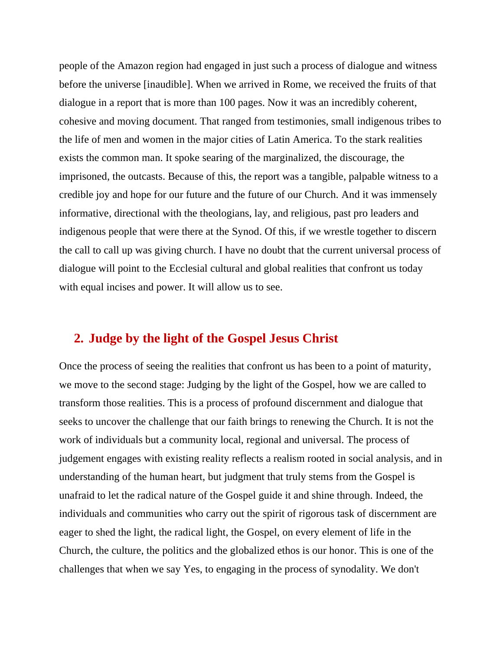people of the Amazon region had engaged in just such a process of dialogue and witness before the universe [inaudible]. When we arrived in Rome, we received the fruits of that dialogue in a report that is more than 100 pages. Now it was an incredibly coherent, cohesive and moving document. That ranged from testimonies, small indigenous tribes to the life of men and women in the major cities of Latin America. To the stark realities exists the common man. It spoke searing of the marginalized, the discourage, the imprisoned, the outcasts. Because of this, the report was a tangible, palpable witness to a credible joy and hope for our future and the future of our Church. And it was immensely informative, directional with the theologians, lay, and religious, past pro leaders and indigenous people that were there at the Synod. Of this, if we wrestle together to discern the call to call up was giving church. I have no doubt that the current universal process of dialogue will point to the Ecclesial cultural and global realities that confront us today with equal incises and power. It will allow us to see.

### **2. Judge by the light of the Gospel Jesus Christ**

Once the process of seeing the realities that confront us has been to a point of maturity, we move to the second stage: Judging by the light of the Gospel, how we are called to transform those realities. This is a process of profound discernment and dialogue that seeks to uncover the challenge that our faith brings to renewing the Church. It is not the work of individuals but a community local, regional and universal. The process of judgement engages with existing reality reflects a realism rooted in social analysis, and in understanding of the human heart, but judgment that truly stems from the Gospel is unafraid to let the radical nature of the Gospel guide it and shine through. Indeed, the individuals and communities who carry out the spirit of rigorous task of discernment are eager to shed the light, the radical light, the Gospel, on every element of life in the Church, the culture, the politics and the globalized ethos is our honor. This is one of the challenges that when we say Yes, to engaging in the process of synodality. We don't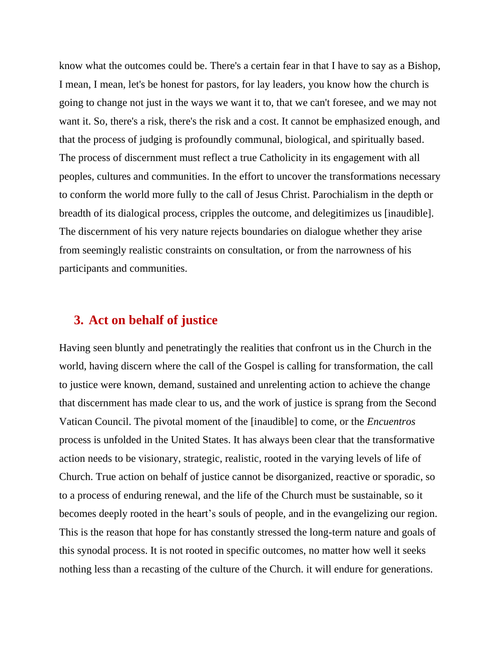know what the outcomes could be. There's a certain fear in that I have to say as a Bishop, I mean, I mean, let's be honest for pastors, for lay leaders, you know how the church is going to change not just in the ways we want it to, that we can't foresee, and we may not want it. So, there's a risk, there's the risk and a cost. It cannot be emphasized enough, and that the process of judging is profoundly communal, biological, and spiritually based. The process of discernment must reflect a true Catholicity in its engagement with all peoples, cultures and communities. In the effort to uncover the transformations necessary to conform the world more fully to the call of Jesus Christ. Parochialism in the depth or breadth of its dialogical process, cripples the outcome, and delegitimizes us [inaudible]. The discernment of his very nature rejects boundaries on dialogue whether they arise from seemingly realistic constraints on consultation, or from the narrowness of his participants and communities.

### **3. Act on behalf of justice**

Having seen bluntly and penetratingly the realities that confront us in the Church in the world, having discern where the call of the Gospel is calling for transformation, the call to justice were known, demand, sustained and unrelenting action to achieve the change that discernment has made clear to us, and the work of justice is sprang from the Second Vatican Council. The pivotal moment of the [inaudible] to come, or the *Encuentros* process is unfolded in the United States. It has always been clear that the transformative action needs to be visionary, strategic, realistic, rooted in the varying levels of life of Church. True action on behalf of justice cannot be disorganized, reactive or sporadic, so to a process of enduring renewal, and the life of the Church must be sustainable, so it becomes deeply rooted in the heart's souls of people, and in the evangelizing our region. This is the reason that hope for has constantly stressed the long-term nature and goals of this synodal process. It is not rooted in specific outcomes, no matter how well it seeks nothing less than a recasting of the culture of the Church. it will endure for generations.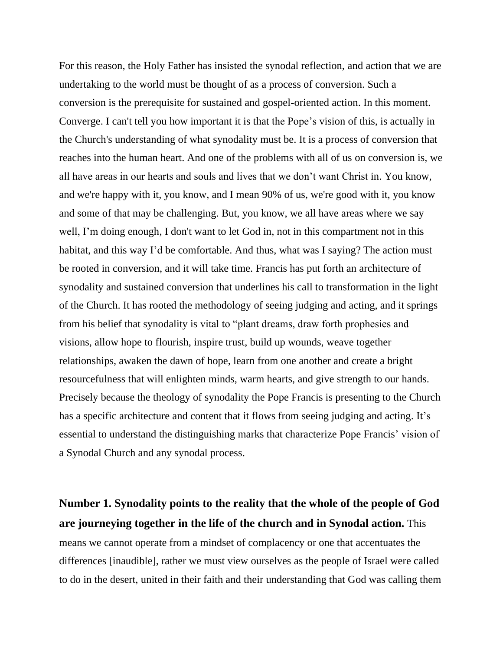For this reason, the Holy Father has insisted the synodal reflection, and action that we are undertaking to the world must be thought of as a process of conversion. Such a conversion is the prerequisite for sustained and gospel-oriented action. In this moment. Converge. I can't tell you how important it is that the Pope's vision of this, is actually in the Church's understanding of what synodality must be. It is a process of conversion that reaches into the human heart. And one of the problems with all of us on conversion is, we all have areas in our hearts and souls and lives that we don't want Christ in. You know, and we're happy with it, you know, and I mean 90% of us, we're good with it, you know and some of that may be challenging. But, you know, we all have areas where we say well, I'm doing enough, I don't want to let God in, not in this compartment not in this habitat, and this way I'd be comfortable. And thus, what was I saying? The action must be rooted in conversion, and it will take time. Francis has put forth an architecture of synodality and sustained conversion that underlines his call to transformation in the light of the Church. It has rooted the methodology of seeing judging and acting, and it springs from his belief that synodality is vital to "plant dreams, draw forth prophesies and visions, allow hope to flourish, inspire trust, build up wounds, weave together relationships, awaken the dawn of hope, learn from one another and create a bright resourcefulness that will enlighten minds, warm hearts, and give strength to our hands. Precisely because the theology of synodality the Pope Francis is presenting to the Church has a specific architecture and content that it flows from seeing judging and acting. It's essential to understand the distinguishing marks that characterize Pope Francis' vision of a Synodal Church and any synodal process.

**Number 1. Synodality points to the reality that the whole of the people of God are journeying together in the life of the church and in Synodal action.** This means we cannot operate from a mindset of complacency or one that accentuates the differences [inaudible], rather we must view ourselves as the people of Israel were called to do in the desert, united in their faith and their understanding that God was calling them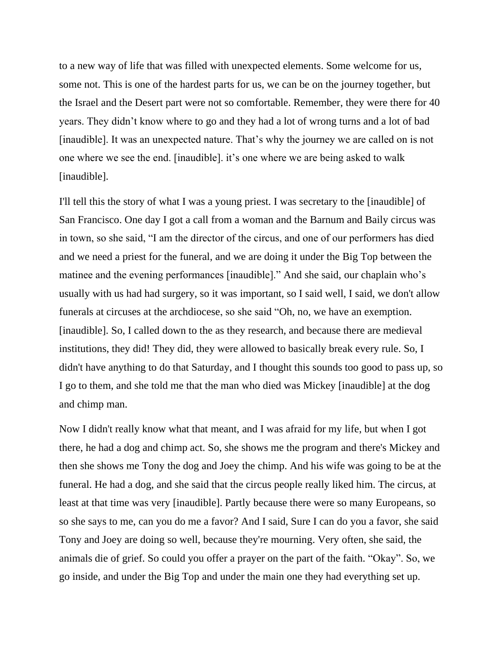to a new way of life that was filled with unexpected elements. Some welcome for us, some not. This is one of the hardest parts for us, we can be on the journey together, but the Israel and the Desert part were not so comfortable. Remember, they were there for 40 years. They didn't know where to go and they had a lot of wrong turns and a lot of bad [inaudible]. It was an unexpected nature. That's why the journey we are called on is not one where we see the end. [inaudible]. it's one where we are being asked to walk [inaudible].

I'll tell this the story of what I was a young priest. I was secretary to the [inaudible] of San Francisco. One day I got a call from a woman and the Barnum and Baily circus was in town, so she said, "I am the director of the circus, and one of our performers has died and we need a priest for the funeral, and we are doing it under the Big Top between the matinee and the evening performances [inaudible]." And she said, our chaplain who's usually with us had had surgery, so it was important, so I said well, I said, we don't allow funerals at circuses at the archdiocese, so she said "Oh, no, we have an exemption. [inaudible]. So, I called down to the as they research, and because there are medieval institutions, they did! They did, they were allowed to basically break every rule. So, I didn't have anything to do that Saturday, and I thought this sounds too good to pass up, so I go to them, and she told me that the man who died was Mickey [inaudible] at the dog and chimp man.

Now I didn't really know what that meant, and I was afraid for my life, but when I got there, he had a dog and chimp act. So, she shows me the program and there's Mickey and then she shows me Tony the dog and Joey the chimp. And his wife was going to be at the funeral. He had a dog, and she said that the circus people really liked him. The circus, at least at that time was very [inaudible]. Partly because there were so many Europeans, so so she says to me, can you do me a favor? And I said, Sure I can do you a favor, she said Tony and Joey are doing so well, because they're mourning. Very often, she said, the animals die of grief. So could you offer a prayer on the part of the faith. "Okay". So, we go inside, and under the Big Top and under the main one they had everything set up.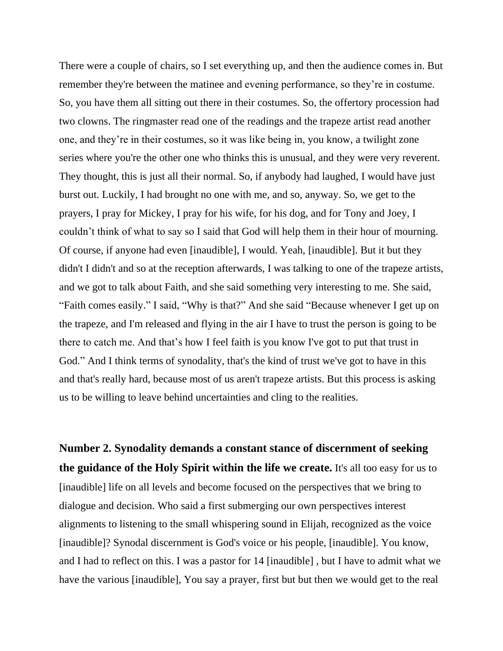There were a couple of chairs, so I set everything up, and then the audience comes in. But remember they're between the matinee and evening performance, so they're in costume. So, you have them all sitting out there in their costumes. So, the offertory procession had two clowns. The ringmaster read one of the readings and the trapeze artist read another one, and they're in their costumes, so it was like being in, you know, a twilight zone series where you're the other one who thinks this is unusual, and they were very reverent. They thought, this is just all their normal. So, if anybody had laughed, I would have just burst out. Luckily, I had brought no one with me, and so, anyway. So, we get to the prayers, I pray for Mickey, I pray for his wife, for his dog, and for Tony and Joey, I couldn't think of what to say so I said that God will help them in their hour of mourning. Of course, if anyone had even [inaudible], I would. Yeah, [inaudible]. But it but they didn't I didn't and so at the reception afterwards, I was talking to one of the trapeze artists, and we got to talk about Faith, and she said something very interesting to me. She said, "Faith comes easily." I said, "Why is that?" And she said "Because whenever I get up on the trapeze, and I'm released and flying in the air I have to trust the person is going to be there to catch me. And that's how I feel faith is you know I've got to put that trust in God." And I think terms of synodality, that's the kind of trust we've got to have in this and that's really hard, because most of us aren't trapeze artists. But this process is asking us to be willing to leave behind uncertainties and cling to the realities.

**Number 2. Synodality demands a constant stance of discernment of seeking the guidance of the Holy Spirit within the life we create.** It's all too easy for us to [inaudible] life on all levels and become focused on the perspectives that we bring to dialogue and decision. Who said a first submerging our own perspectives interest alignments to listening to the small whispering sound in Elijah, recognized as the voice [inaudible]? Synodal discernment is God's voice or his people, [inaudible]. You know, and I had to reflect on this. I was a pastor for 14 [inaudible] , but I have to admit what we have the various [inaudible], You say a prayer, first but but then we would get to the real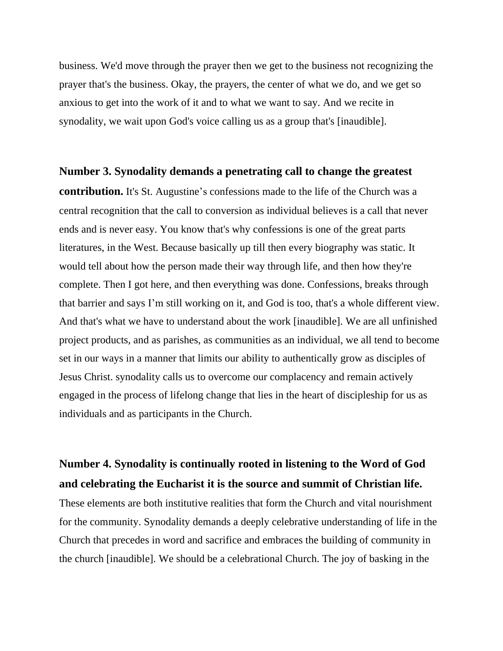business. We'd move through the prayer then we get to the business not recognizing the prayer that's the business. Okay, the prayers, the center of what we do, and we get so anxious to get into the work of it and to what we want to say. And we recite in synodality, we wait upon God's voice calling us as a group that's [inaudible].

#### **Number 3. Synodality demands a penetrating call to change the greatest**

**contribution.** It's St. Augustine's confessions made to the life of the Church was a central recognition that the call to conversion as individual believes is a call that never ends and is never easy. You know that's why confessions is one of the great parts literatures, in the West. Because basically up till then every biography was static. It would tell about how the person made their way through life, and then how they're complete. Then I got here, and then everything was done. Confessions, breaks through that barrier and says I'm still working on it, and God is too, that's a whole different view. And that's what we have to understand about the work [inaudible]. We are all unfinished project products, and as parishes, as communities as an individual, we all tend to become set in our ways in a manner that limits our ability to authentically grow as disciples of Jesus Christ. synodality calls us to overcome our complacency and remain actively engaged in the process of lifelong change that lies in the heart of discipleship for us as individuals and as participants in the Church.

### **Number 4. Synodality is continually rooted in listening to the Word of God and celebrating the Eucharist it is the source and summit of Christian life.**

These elements are both institutive realities that form the Church and vital nourishment for the community. Synodality demands a deeply celebrative understanding of life in the Church that precedes in word and sacrifice and embraces the building of community in the church [inaudible]. We should be a celebrational Church. The joy of basking in the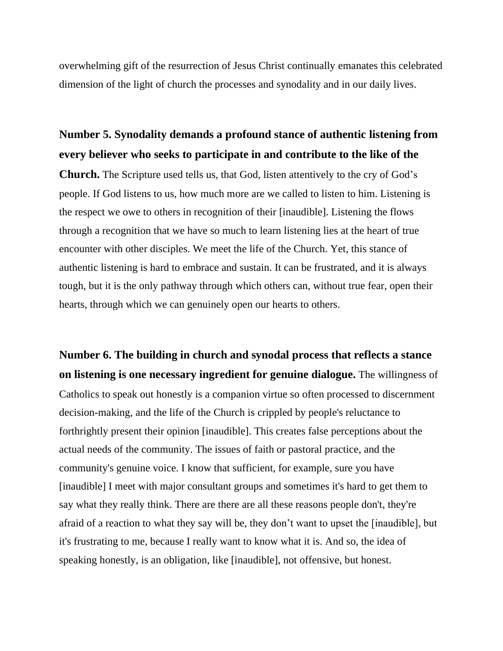overwhelming gift of the resurrection of Jesus Christ continually emanates this celebrated dimension of the light of church the processes and synodality and in our daily lives.

### **Number 5. Synodality demands a profound stance of authentic listening from every believer who seeks to participate in and contribute to the like of the**

**Church.** The Scripture used tells us, that God, listen attentively to the cry of God's people. If God listens to us, how much more are we called to listen to him. Listening is the respect we owe to others in recognition of their [inaudible]. Listening the flows through a recognition that we have so much to learn listening lies at the heart of true encounter with other disciples. We meet the life of the Church. Yet, this stance of authentic listening is hard to embrace and sustain. It can be frustrated, and it is always tough, but it is the only pathway through which others can, without true fear, open their hearts, through which we can genuinely open our hearts to others.

**Number 6. The building in church and synodal process that reflects a stance on listening is one necessary ingredient for genuine dialogue.** The willingness of Catholics to speak out honestly is a companion virtue so often processed to discernment decision-making, and the life of the Church is crippled by people's reluctance to forthrightly present their opinion [inaudible]. This creates false perceptions about the actual needs of the community. The issues of faith or pastoral practice, and the community's genuine voice. I know that sufficient, for example, sure you have [inaudible] I meet with major consultant groups and sometimes it's hard to get them to say what they really think. There are there are all these reasons people don't, they're afraid of a reaction to what they say will be, they don't want to upset the [inaudible], but it's frustrating to me, because I really want to know what it is. And so, the idea of speaking honestly, is an obligation, like [inaudible], not offensive, but honest.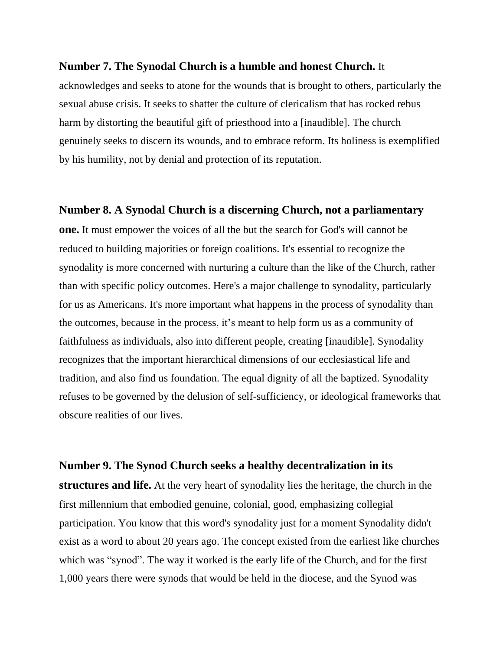#### **Number 7. The Synodal Church is a humble and honest Church.** It

acknowledges and seeks to atone for the wounds that is brought to others, particularly the sexual abuse crisis. It seeks to shatter the culture of clericalism that has rocked rebus harm by distorting the beautiful gift of priesthood into a [inaudible]. The church genuinely seeks to discern its wounds, and to embrace reform. Its holiness is exemplified by his humility, not by denial and protection of its reputation.

#### **Number 8. A Synodal Church is a discerning Church, not a parliamentary**

**one.** It must empower the voices of all the but the search for God's will cannot be reduced to building majorities or foreign coalitions. It's essential to recognize the synodality is more concerned with nurturing a culture than the like of the Church, rather than with specific policy outcomes. Here's a major challenge to synodality, particularly for us as Americans. It's more important what happens in the process of synodality than the outcomes, because in the process, it's meant to help form us as a community of faithfulness as individuals, also into different people, creating [inaudible]. Synodality recognizes that the important hierarchical dimensions of our ecclesiastical life and tradition, and also find us foundation. The equal dignity of all the baptized. Synodality refuses to be governed by the delusion of self-sufficiency, or ideological frameworks that obscure realities of our lives.

#### **Number 9. The Synod Church seeks a healthy decentralization in its**

**structures and life.** At the very heart of synodality lies the heritage, the church in the first millennium that embodied genuine, colonial, good, emphasizing collegial participation. You know that this word's synodality just for a moment Synodality didn't exist as a word to about 20 years ago. The concept existed from the earliest like churches which was "synod". The way it worked is the early life of the Church, and for the first 1,000 years there were synods that would be held in the diocese, and the Synod was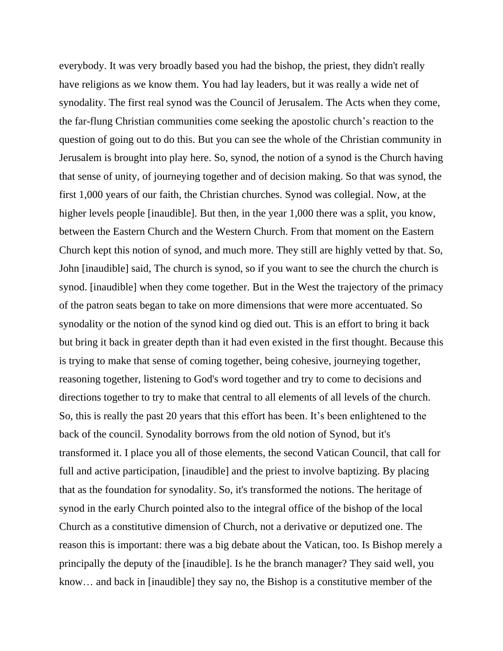everybody. It was very broadly based you had the bishop, the priest, they didn't really have religions as we know them. You had lay leaders, but it was really a wide net of synodality. The first real synod was the Council of Jerusalem. The Acts when they come, the far-flung Christian communities come seeking the apostolic church's reaction to the question of going out to do this. But you can see the whole of the Christian community in Jerusalem is brought into play here. So, synod, the notion of a synod is the Church having that sense of unity, of journeying together and of decision making. So that was synod, the first 1,000 years of our faith, the Christian churches. Synod was collegial. Now, at the higher levels people [inaudible]. But then, in the year 1,000 there was a split, you know, between the Eastern Church and the Western Church. From that moment on the Eastern Church kept this notion of synod, and much more. They still are highly vetted by that. So, John [inaudible] said, The church is synod, so if you want to see the church the church is synod. [inaudible] when they come together. But in the West the trajectory of the primacy of the patron seats began to take on more dimensions that were more accentuated. So synodality or the notion of the synod kind og died out. This is an effort to bring it back but bring it back in greater depth than it had even existed in the first thought. Because this is trying to make that sense of coming together, being cohesive, journeying together, reasoning together, listening to God's word together and try to come to decisions and directions together to try to make that central to all elements of all levels of the church. So, this is really the past 20 years that this effort has been. It's been enlightened to the back of the council. Synodality borrows from the old notion of Synod, but it's transformed it. I place you all of those elements, the second Vatican Council, that call for full and active participation, [inaudible] and the priest to involve baptizing. By placing that as the foundation for synodality. So, it's transformed the notions. The heritage of synod in the early Church pointed also to the integral office of the bishop of the local Church as a constitutive dimension of Church, not a derivative or deputized one. The reason this is important: there was a big debate about the Vatican, too. Is Bishop merely a principally the deputy of the [inaudible]. Is he the branch manager? They said well, you know… and back in [inaudible] they say no, the Bishop is a constitutive member of the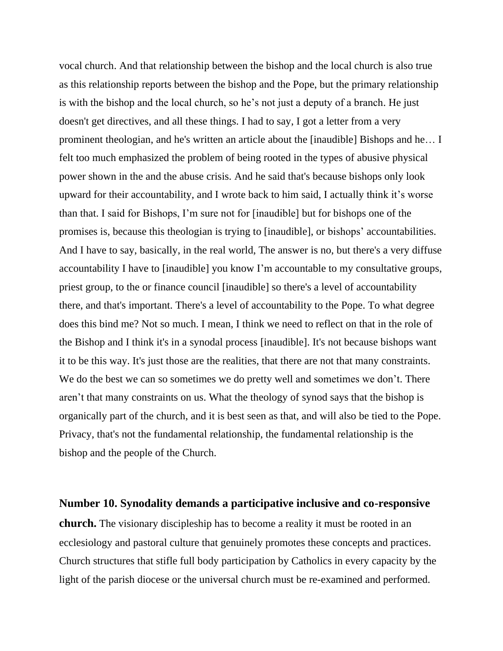vocal church. And that relationship between the bishop and the local church is also true as this relationship reports between the bishop and the Pope, but the primary relationship is with the bishop and the local church, so he's not just a deputy of a branch. He just doesn't get directives, and all these things. I had to say, I got a letter from a very prominent theologian, and he's written an article about the [inaudible] Bishops and he… I felt too much emphasized the problem of being rooted in the types of abusive physical power shown in the and the abuse crisis. And he said that's because bishops only look upward for their accountability, and I wrote back to him said, I actually think it's worse than that. I said for Bishops, I'm sure not for [inaudible] but for bishops one of the promises is, because this theologian is trying to [inaudible], or bishops' accountabilities. And I have to say, basically, in the real world, The answer is no, but there's a very diffuse accountability I have to [inaudible] you know I'm accountable to my consultative groups, priest group, to the or finance council [inaudible] so there's a level of accountability there, and that's important. There's a level of accountability to the Pope. To what degree does this bind me? Not so much. I mean, I think we need to reflect on that in the role of the Bishop and I think it's in a synodal process [inaudible]. It's not because bishops want it to be this way. It's just those are the realities, that there are not that many constraints. We do the best we can so sometimes we do pretty well and sometimes we don't. There aren't that many constraints on us. What the theology of synod says that the bishop is organically part of the church, and it is best seen as that, and will also be tied to the Pope. Privacy, that's not the fundamental relationship, the fundamental relationship is the bishop and the people of the Church.

**Number 10. Synodality demands a participative inclusive and co-responsive church.** The visionary discipleship has to become a reality it must be rooted in an ecclesiology and pastoral culture that genuinely promotes these concepts and practices. Church structures that stifle full body participation by Catholics in every capacity by the light of the parish diocese or the universal church must be re-examined and performed.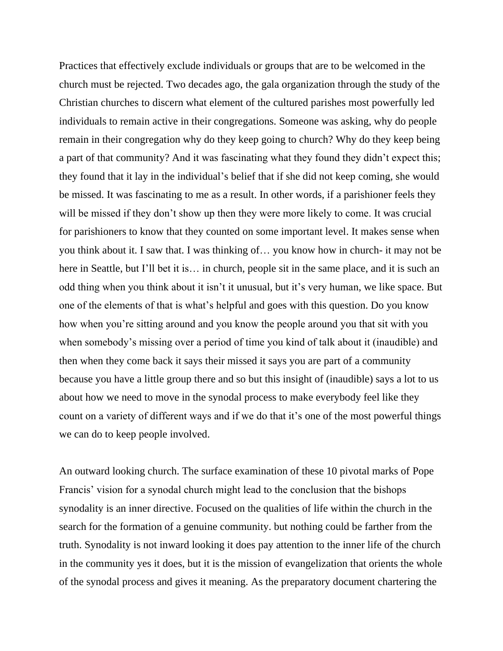Practices that effectively exclude individuals or groups that are to be welcomed in the church must be rejected. Two decades ago, the gala organization through the study of the Christian churches to discern what element of the cultured parishes most powerfully led individuals to remain active in their congregations. Someone was asking, why do people remain in their congregation why do they keep going to church? Why do they keep being a part of that community? And it was fascinating what they found they didn't expect this; they found that it lay in the individual's belief that if she did not keep coming, she would be missed. It was fascinating to me as a result. In other words, if a parishioner feels they will be missed if they don't show up then they were more likely to come. It was crucial for parishioners to know that they counted on some important level. It makes sense when you think about it. I saw that. I was thinking of… you know how in church- it may not be here in Seattle, but I'll bet it is... in church, people sit in the same place, and it is such an odd thing when you think about it isn't it unusual, but it's very human, we like space. But one of the elements of that is what's helpful and goes with this question. Do you know how when you're sitting around and you know the people around you that sit with you when somebody's missing over a period of time you kind of talk about it (inaudible) and then when they come back it says their missed it says you are part of a community because you have a little group there and so but this insight of (inaudible) says a lot to us about how we need to move in the synodal process to make everybody feel like they count on a variety of different ways and if we do that it's one of the most powerful things we can do to keep people involved.

An outward looking church. The surface examination of these 10 pivotal marks of Pope Francis' vision for a synodal church might lead to the conclusion that the bishops synodality is an inner directive. Focused on the qualities of life within the church in the search for the formation of a genuine community. but nothing could be farther from the truth. Synodality is not inward looking it does pay attention to the inner life of the church in the community yes it does, but it is the mission of evangelization that orients the whole of the synodal process and gives it meaning. As the preparatory document chartering the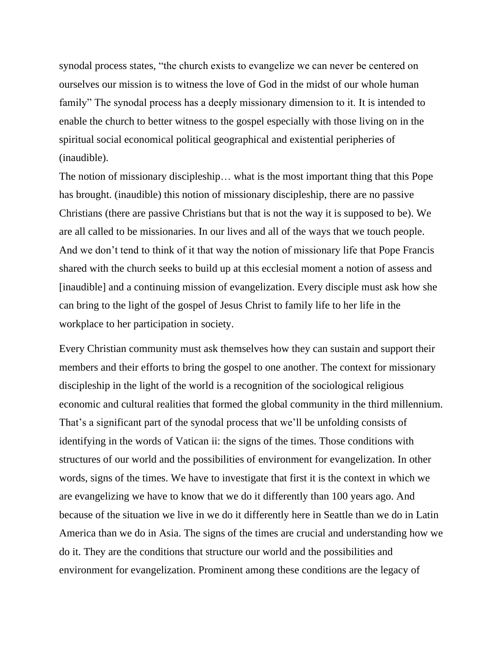synodal process states, "the church exists to evangelize we can never be centered on ourselves our mission is to witness the love of God in the midst of our whole human family" The synodal process has a deeply missionary dimension to it. It is intended to enable the church to better witness to the gospel especially with those living on in the spiritual social economical political geographical and existential peripheries of (inaudible).

The notion of missionary discipleship… what is the most important thing that this Pope has brought. (inaudible) this notion of missionary discipleship, there are no passive Christians (there are passive Christians but that is not the way it is supposed to be). We are all called to be missionaries. In our lives and all of the ways that we touch people. And we don't tend to think of it that way the notion of missionary life that Pope Francis shared with the church seeks to build up at this ecclesial moment a notion of assess and [inaudible] and a continuing mission of evangelization. Every disciple must ask how she can bring to the light of the gospel of Jesus Christ to family life to her life in the workplace to her participation in society.

Every Christian community must ask themselves how they can sustain and support their members and their efforts to bring the gospel to one another. The context for missionary discipleship in the light of the world is a recognition of the sociological religious economic and cultural realities that formed the global community in the third millennium. That's a significant part of the synodal process that we'll be unfolding consists of identifying in the words of Vatican ii: the signs of the times. Those conditions with structures of our world and the possibilities of environment for evangelization. In other words, signs of the times. We have to investigate that first it is the context in which we are evangelizing we have to know that we do it differently than 100 years ago. And because of the situation we live in we do it differently here in Seattle than we do in Latin America than we do in Asia. The signs of the times are crucial and understanding how we do it. They are the conditions that structure our world and the possibilities and environment for evangelization. Prominent among these conditions are the legacy of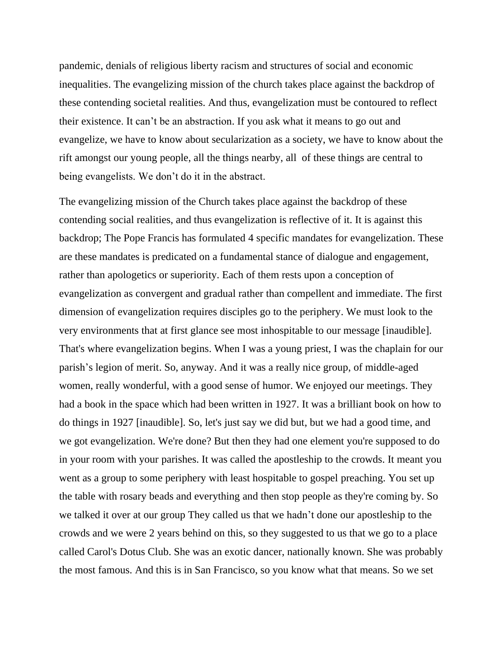pandemic, denials of religious liberty racism and structures of social and economic inequalities. The evangelizing mission of the church takes place against the backdrop of these contending societal realities. And thus, evangelization must be contoured to reflect their existence. It can't be an abstraction. If you ask what it means to go out and evangelize, we have to know about secularization as a society, we have to know about the rift amongst our young people, all the things nearby, all of these things are central to being evangelists. We don't do it in the abstract.

The evangelizing mission of the Church takes place against the backdrop of these contending social realities, and thus evangelization is reflective of it. It is against this backdrop; The Pope Francis has formulated 4 specific mandates for evangelization. These are these mandates is predicated on a fundamental stance of dialogue and engagement, rather than apologetics or superiority. Each of them rests upon a conception of evangelization as convergent and gradual rather than compellent and immediate. The first dimension of evangelization requires disciples go to the periphery. We must look to the very environments that at first glance see most inhospitable to our message [inaudible]. That's where evangelization begins. When I was a young priest, I was the chaplain for our parish's legion of merit. So, anyway. And it was a really nice group, of middle-aged women, really wonderful, with a good sense of humor. We enjoyed our meetings. They had a book in the space which had been written in 1927. It was a brilliant book on how to do things in 1927 [inaudible]. So, let's just say we did but, but we had a good time, and we got evangelization. We're done? But then they had one element you're supposed to do in your room with your parishes. It was called the apostleship to the crowds. It meant you went as a group to some periphery with least hospitable to gospel preaching. You set up the table with rosary beads and everything and then stop people as they're coming by. So we talked it over at our group They called us that we hadn't done our apostleship to the crowds and we were 2 years behind on this, so they suggested to us that we go to a place called Carol's Dotus Club. She was an exotic dancer, nationally known. She was probably the most famous. And this is in San Francisco, so you know what that means. So we set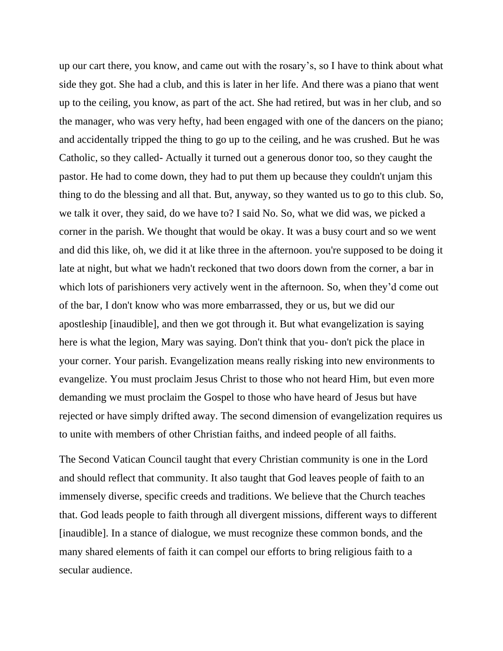up our cart there, you know, and came out with the rosary's, so I have to think about what side they got. She had a club, and this is later in her life. And there was a piano that went up to the ceiling, you know, as part of the act. She had retired, but was in her club, and so the manager, who was very hefty, had been engaged with one of the dancers on the piano; and accidentally tripped the thing to go up to the ceiling, and he was crushed. But he was Catholic, so they called- Actually it turned out a generous donor too, so they caught the pastor. He had to come down, they had to put them up because they couldn't unjam this thing to do the blessing and all that. But, anyway, so they wanted us to go to this club. So, we talk it over, they said, do we have to? I said No. So, what we did was, we picked a corner in the parish. We thought that would be okay. It was a busy court and so we went and did this like, oh, we did it at like three in the afternoon. you're supposed to be doing it late at night, but what we hadn't reckoned that two doors down from the corner, a bar in which lots of parishioners very actively went in the afternoon. So, when they'd come out of the bar, I don't know who was more embarrassed, they or us, but we did our apostleship [inaudible], and then we got through it. But what evangelization is saying here is what the legion, Mary was saying. Don't think that you- don't pick the place in your corner. Your parish. Evangelization means really risking into new environments to evangelize. You must proclaim Jesus Christ to those who not heard Him, but even more demanding we must proclaim the Gospel to those who have heard of Jesus but have rejected or have simply drifted away. The second dimension of evangelization requires us to unite with members of other Christian faiths, and indeed people of all faiths.

The Second Vatican Council taught that every Christian community is one in the Lord and should reflect that community. It also taught that God leaves people of faith to an immensely diverse, specific creeds and traditions. We believe that the Church teaches that. God leads people to faith through all divergent missions, different ways to different [inaudible]. In a stance of dialogue, we must recognize these common bonds, and the many shared elements of faith it can compel our efforts to bring religious faith to a secular audience.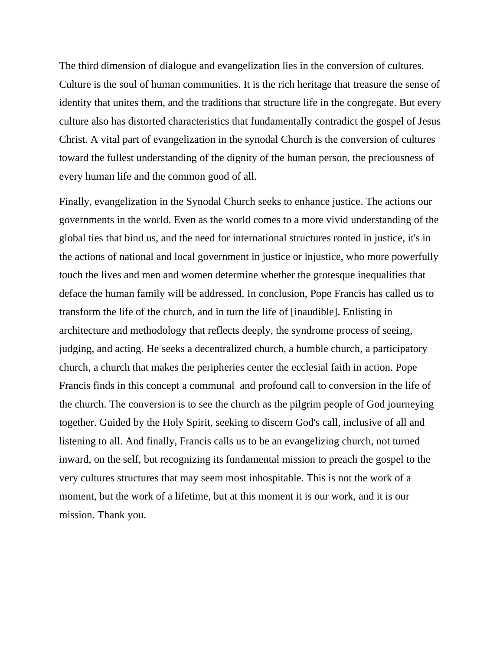The third dimension of dialogue and evangelization lies in the conversion of cultures. Culture is the soul of human communities. It is the rich heritage that treasure the sense of identity that unites them, and the traditions that structure life in the congregate. But every culture also has distorted characteristics that fundamentally contradict the gospel of Jesus Christ. A vital part of evangelization in the synodal Church is the conversion of cultures toward the fullest understanding of the dignity of the human person, the preciousness of every human life and the common good of all.

Finally, evangelization in the Synodal Church seeks to enhance justice. The actions our governments in the world. Even as the world comes to a more vivid understanding of the global ties that bind us, and the need for international structures rooted in justice, it's in the actions of national and local government in justice or injustice, who more powerfully touch the lives and men and women determine whether the grotesque inequalities that deface the human family will be addressed. In conclusion, Pope Francis has called us to transform the life of the church, and in turn the life of [inaudible]. Enlisting in architecture and methodology that reflects deeply, the syndrome process of seeing, judging, and acting. He seeks a decentralized church, a humble church, a participatory church, a church that makes the peripheries center the ecclesial faith in action. Pope Francis finds in this concept a communal and profound call to conversion in the life of the church. The conversion is to see the church as the pilgrim people of God journeying together. Guided by the Holy Spirit, seeking to discern God's call, inclusive of all and listening to all. And finally, Francis calls us to be an evangelizing church, not turned inward, on the self, but recognizing its fundamental mission to preach the gospel to the very cultures structures that may seem most inhospitable. This is not the work of a moment, but the work of a lifetime, but at this moment it is our work, and it is our mission. Thank you.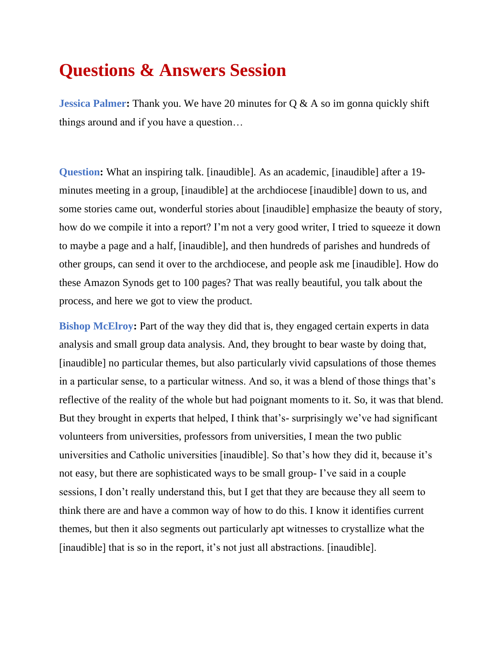## **Questions & Answers Session**

**Jessica Palmer:** Thank you. We have 20 minutes for Q & A so im gonna quickly shift things around and if you have a question…

**Question:** What an inspiring talk. [inaudible]. As an academic, [inaudible] after a 19 minutes meeting in a group, [inaudible] at the archdiocese [inaudible] down to us, and some stories came out, wonderful stories about [inaudible] emphasize the beauty of story, how do we compile it into a report? I'm not a very good writer, I tried to squeeze it down to maybe a page and a half, [inaudible], and then hundreds of parishes and hundreds of other groups, can send it over to the archdiocese, and people ask me [inaudible]. How do these Amazon Synods get to 100 pages? That was really beautiful, you talk about the process, and here we got to view the product.

**Bishop McElroy:** Part of the way they did that is, they engaged certain experts in data analysis and small group data analysis. And, they brought to bear waste by doing that, [inaudible] no particular themes, but also particularly vivid capsulations of those themes in a particular sense, to a particular witness. And so, it was a blend of those things that's reflective of the reality of the whole but had poignant moments to it. So, it was that blend. But they brought in experts that helped, I think that's- surprisingly we've had significant volunteers from universities, professors from universities, I mean the two public universities and Catholic universities [inaudible]. So that's how they did it, because it's not easy, but there are sophisticated ways to be small group- I've said in a couple sessions, I don't really understand this, but I get that they are because they all seem to think there are and have a common way of how to do this. I know it identifies current themes, but then it also segments out particularly apt witnesses to crystallize what the [inaudible] that is so in the report, it's not just all abstractions. [inaudible].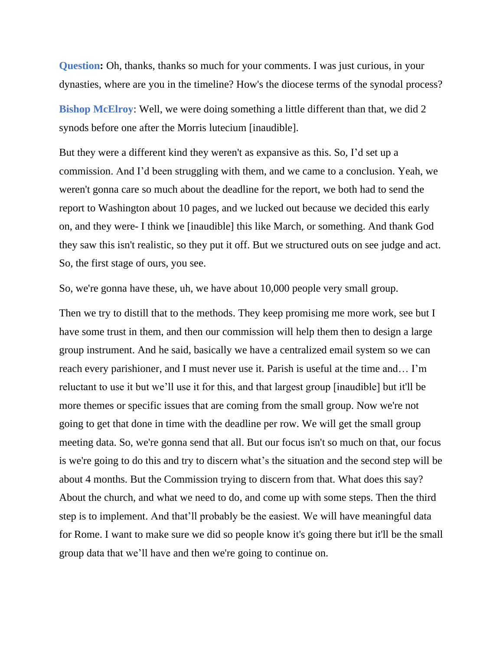**Question:** Oh, thanks, thanks so much for your comments. I was just curious, in your dynasties, where are you in the timeline? How's the diocese terms of the synodal process?

**Bishop McElroy:** Well, we were doing something a little different than that, we did 2 synods before one after the Morris lutecium [inaudible].

But they were a different kind they weren't as expansive as this. So, I'd set up a commission. And I'd been struggling with them, and we came to a conclusion. Yeah, we weren't gonna care so much about the deadline for the report, we both had to send the report to Washington about 10 pages, and we lucked out because we decided this early on, and they were- I think we [inaudible] this like March, or something. And thank God they saw this isn't realistic, so they put it off. But we structured outs on see judge and act. So, the first stage of ours, you see.

So, we're gonna have these, uh, we have about 10,000 people very small group.

Then we try to distill that to the methods. They keep promising me more work, see but I have some trust in them, and then our commission will help them then to design a large group instrument. And he said, basically we have a centralized email system so we can reach every parishioner, and I must never use it. Parish is useful at the time and… I'm reluctant to use it but we'll use it for this, and that largest group [inaudible] but it'll be more themes or specific issues that are coming from the small group. Now we're not going to get that done in time with the deadline per row. We will get the small group meeting data. So, we're gonna send that all. But our focus isn't so much on that, our focus is we're going to do this and try to discern what's the situation and the second step will be about 4 months. But the Commission trying to discern from that. What does this say? About the church, and what we need to do, and come up with some steps. Then the third step is to implement. And that'll probably be the easiest. We will have meaningful data for Rome. I want to make sure we did so people know it's going there but it'll be the small group data that we'll have and then we're going to continue on.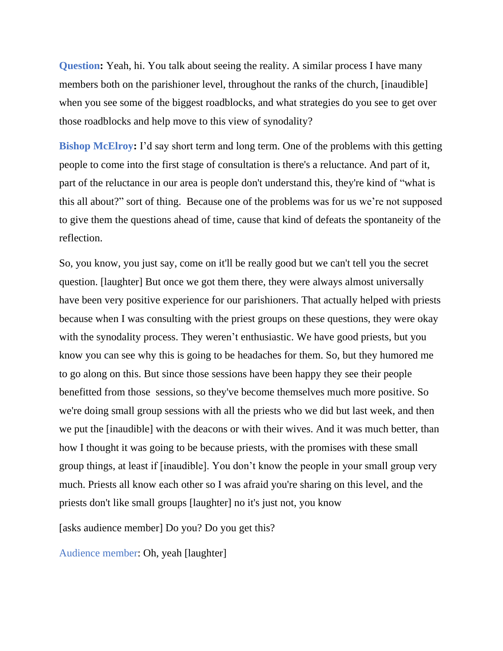**Question:** Yeah, hi. You talk about seeing the reality. A similar process I have many members both on the parishioner level, throughout the ranks of the church, [inaudible] when you see some of the biggest roadblocks, and what strategies do you see to get over those roadblocks and help move to this view of synodality?

**Bishop McElroy:** I'd say short term and long term. One of the problems with this getting people to come into the first stage of consultation is there's a reluctance. And part of it, part of the reluctance in our area is people don't understand this, they're kind of "what is this all about?" sort of thing. Because one of the problems was for us we're not supposed to give them the questions ahead of time, cause that kind of defeats the spontaneity of the reflection.

So, you know, you just say, come on it'll be really good but we can't tell you the secret question. [laughter] But once we got them there, they were always almost universally have been very positive experience for our parishioners. That actually helped with priests because when I was consulting with the priest groups on these questions, they were okay with the synodality process. They weren't enthusiastic. We have good priests, but you know you can see why this is going to be headaches for them. So, but they humored me to go along on this. But since those sessions have been happy they see their people benefitted from those sessions, so they've become themselves much more positive. So we're doing small group sessions with all the priests who we did but last week, and then we put the [inaudible] with the deacons or with their wives. And it was much better, than how I thought it was going to be because priests, with the promises with these small group things, at least if [inaudible]. You don't know the people in your small group very much. Priests all know each other so I was afraid you're sharing on this level, and the priests don't like small groups [laughter] no it's just not, you know

[asks audience member] Do you? Do you get this?

Audience member: Oh, yeah [laughter]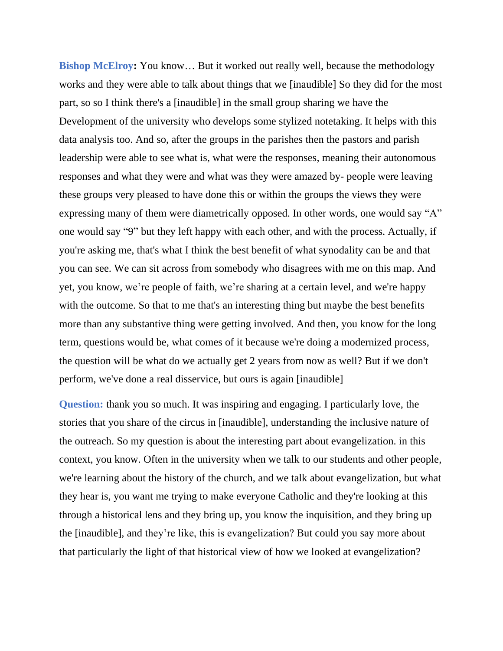**Bishop McElroy:** You know... But it worked out really well, because the methodology works and they were able to talk about things that we [inaudible] So they did for the most part, so so I think there's a [inaudible] in the small group sharing we have the Development of the university who develops some stylized notetaking. It helps with this data analysis too. And so, after the groups in the parishes then the pastors and parish leadership were able to see what is, what were the responses, meaning their autonomous responses and what they were and what was they were amazed by- people were leaving these groups very pleased to have done this or within the groups the views they were expressing many of them were diametrically opposed. In other words, one would say "A" one would say "9" but they left happy with each other, and with the process. Actually, if you're asking me, that's what I think the best benefit of what synodality can be and that you can see. We can sit across from somebody who disagrees with me on this map. And yet, you know, we're people of faith, we're sharing at a certain level, and we're happy with the outcome. So that to me that's an interesting thing but maybe the best benefits more than any substantive thing were getting involved. And then, you know for the long term, questions would be, what comes of it because we're doing a modernized process, the question will be what do we actually get 2 years from now as well? But if we don't perform, we've done a real disservice, but ours is again [inaudible]

**Question:** thank you so much. It was inspiring and engaging. I particularly love, the stories that you share of the circus in [inaudible], understanding the inclusive nature of the outreach. So my question is about the interesting part about evangelization. in this context, you know. Often in the university when we talk to our students and other people, we're learning about the history of the church, and we talk about evangelization, but what they hear is, you want me trying to make everyone Catholic and they're looking at this through a historical lens and they bring up, you know the inquisition, and they bring up the [inaudible], and they're like, this is evangelization? But could you say more about that particularly the light of that historical view of how we looked at evangelization?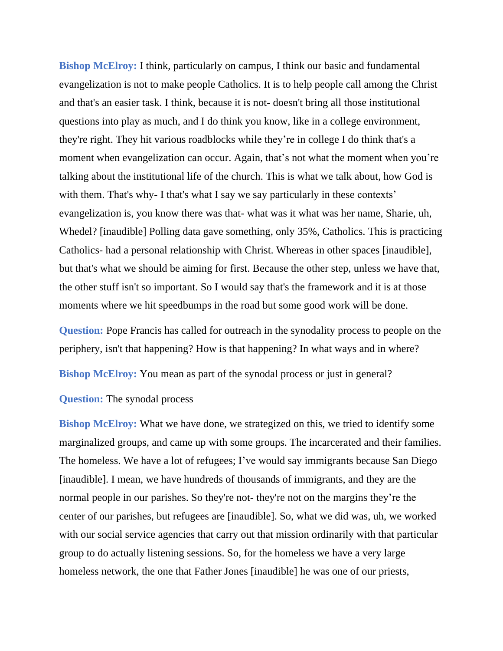**Bishop McElroy:** I think, particularly on campus, I think our basic and fundamental evangelization is not to make people Catholics. It is to help people call among the Christ and that's an easier task. I think, because it is not- doesn't bring all those institutional questions into play as much, and I do think you know, like in a college environment, they're right. They hit various roadblocks while they're in college I do think that's a moment when evangelization can occur. Again, that's not what the moment when you're talking about the institutional life of the church. This is what we talk about, how God is with them. That's why- I that's what I say we say particularly in these contexts' evangelization is, you know there was that- what was it what was her name, Sharie, uh, Whedel? [inaudible] Polling data gave something, only 35%, Catholics. This is practicing Catholics- had a personal relationship with Christ. Whereas in other spaces [inaudible], but that's what we should be aiming for first. Because the other step, unless we have that, the other stuff isn't so important. So I would say that's the framework and it is at those moments where we hit speedbumps in the road but some good work will be done.

**Question:** Pope Francis has called for outreach in the synodality process to people on the periphery, isn't that happening? How is that happening? In what ways and in where?

**Bishop McElroy:** You mean as part of the synodal process or just in general?

#### **Question:** The synodal process

**Bishop McElroy:** What we have done, we strategized on this, we tried to identify some marginalized groups, and came up with some groups. The incarcerated and their families. The homeless. We have a lot of refugees; I've would say immigrants because San Diego [inaudible]. I mean, we have hundreds of thousands of immigrants, and they are the normal people in our parishes. So they're not- they're not on the margins they're the center of our parishes, but refugees are [inaudible]. So, what we did was, uh, we worked with our social service agencies that carry out that mission ordinarily with that particular group to do actually listening sessions. So, for the homeless we have a very large homeless network, the one that Father Jones [inaudible] he was one of our priests,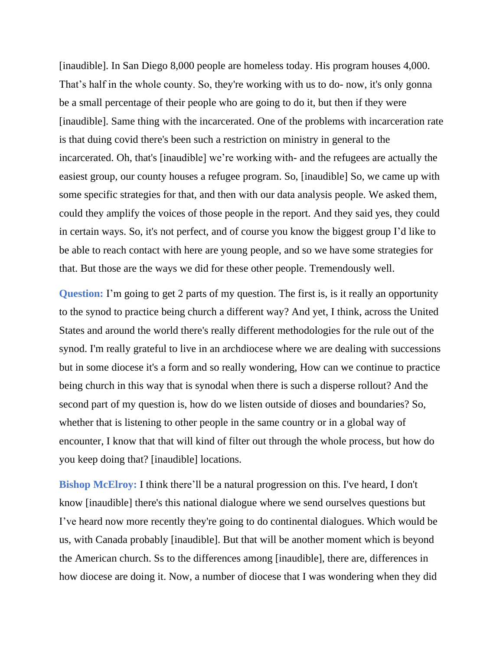[inaudible]. In San Diego 8,000 people are homeless today. His program houses 4,000. That's half in the whole county. So, they're working with us to do- now, it's only gonna be a small percentage of their people who are going to do it, but then if they were [inaudible]. Same thing with the incarcerated. One of the problems with incarceration rate is that duing covid there's been such a restriction on ministry in general to the incarcerated. Oh, that's [inaudible] we're working with- and the refugees are actually the easiest group, our county houses a refugee program. So, [inaudible] So, we came up with some specific strategies for that, and then with our data analysis people. We asked them, could they amplify the voices of those people in the report. And they said yes, they could in certain ways. So, it's not perfect, and of course you know the biggest group I'd like to be able to reach contact with here are young people, and so we have some strategies for that. But those are the ways we did for these other people. Tremendously well.

**Question:** I'm going to get 2 parts of my question. The first is, is it really an opportunity to the synod to practice being church a different way? And yet, I think, across the United States and around the world there's really different methodologies for the rule out of the synod. I'm really grateful to live in an archdiocese where we are dealing with successions but in some diocese it's a form and so really wondering, How can we continue to practice being church in this way that is synodal when there is such a disperse rollout? And the second part of my question is, how do we listen outside of dioses and boundaries? So, whether that is listening to other people in the same country or in a global way of encounter, I know that that will kind of filter out through the whole process, but how do you keep doing that? [inaudible] locations.

**Bishop McElroy:** I think there'll be a natural progression on this. I've heard, I don't know [inaudible] there's this national dialogue where we send ourselves questions but I've heard now more recently they're going to do continental dialogues. Which would be us, with Canada probably [inaudible]. But that will be another moment which is beyond the American church. Ss to the differences among [inaudible], there are, differences in how diocese are doing it. Now, a number of diocese that I was wondering when they did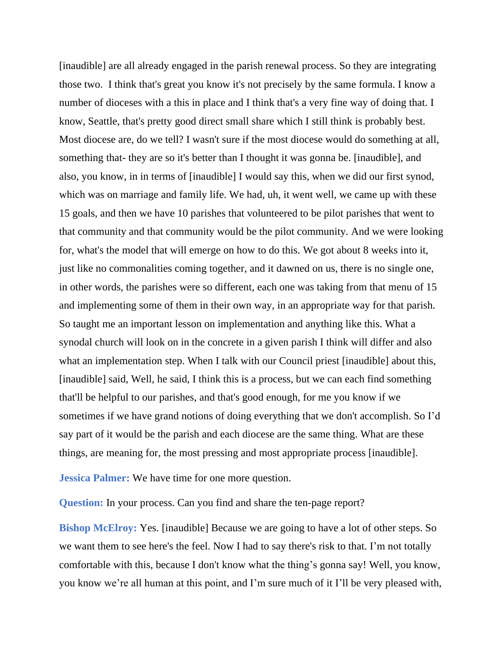[inaudible] are all already engaged in the parish renewal process. So they are integrating those two. I think that's great you know it's not precisely by the same formula. I know a number of dioceses with a this in place and I think that's a very fine way of doing that. I know, Seattle, that's pretty good direct small share which I still think is probably best. Most diocese are, do we tell? I wasn't sure if the most diocese would do something at all, something that- they are so it's better than I thought it was gonna be. [inaudible], and also, you know, in in terms of [inaudible] I would say this, when we did our first synod, which was on marriage and family life. We had, uh, it went well, we came up with these 15 goals, and then we have 10 parishes that volunteered to be pilot parishes that went to that community and that community would be the pilot community. And we were looking for, what's the model that will emerge on how to do this. We got about 8 weeks into it, just like no commonalities coming together, and it dawned on us, there is no single one, in other words, the parishes were so different, each one was taking from that menu of 15 and implementing some of them in their own way, in an appropriate way for that parish. So taught me an important lesson on implementation and anything like this. What a synodal church will look on in the concrete in a given parish I think will differ and also what an implementation step. When I talk with our Council priest [inaudible] about this, [inaudible] said, Well, he said, I think this is a process, but we can each find something that'll be helpful to our parishes, and that's good enough, for me you know if we sometimes if we have grand notions of doing everything that we don't accomplish. So I'd say part of it would be the parish and each diocese are the same thing. What are these things, are meaning for, the most pressing and most appropriate process [inaudible].

**Jessica Palmer:** We have time for one more question.

**Question:** In your process. Can you find and share the ten-page report?

**Bishop McElroy:** Yes. [inaudible] Because we are going to have a lot of other steps. So we want them to see here's the feel. Now I had to say there's risk to that. I'm not totally comfortable with this, because I don't know what the thing's gonna say! Well, you know, you know we're all human at this point, and I'm sure much of it I'll be very pleased with,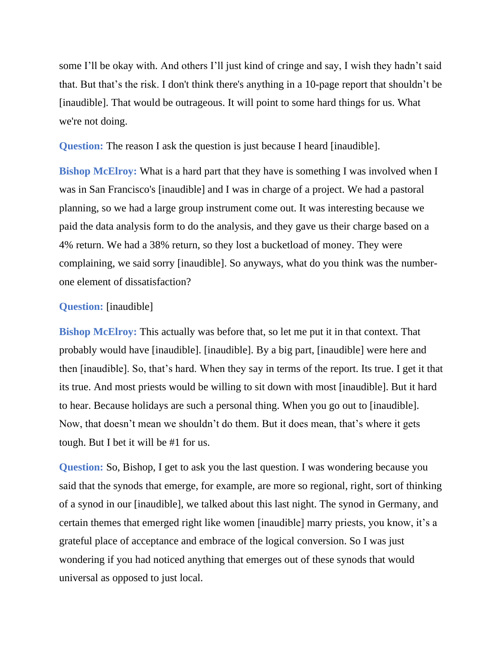some I'll be okay with. And others I'll just kind of cringe and say, I wish they hadn't said that. But that's the risk. I don't think there's anything in a 10-page report that shouldn't be [inaudible]. That would be outrageous. It will point to some hard things for us. What we're not doing.

**Question:** The reason I ask the question is just because I heard [inaudible].

**Bishop McElroy:** What is a hard part that they have is something I was involved when I was in San Francisco's [inaudible] and I was in charge of a project. We had a pastoral planning, so we had a large group instrument come out. It was interesting because we paid the data analysis form to do the analysis, and they gave us their charge based on a 4% return. We had a 38% return, so they lost a bucketload of money. They were complaining, we said sorry [inaudible]. So anyways, what do you think was the numberone element of dissatisfaction?

#### **Question:** [inaudible]

**Bishop McElroy:** This actually was before that, so let me put it in that context. That probably would have [inaudible]. [inaudible]. By a big part, [inaudible] were here and then [inaudible]. So, that's hard. When they say in terms of the report. Its true. I get it that its true. And most priests would be willing to sit down with most [inaudible]. But it hard to hear. Because holidays are such a personal thing. When you go out to [inaudible]. Now, that doesn't mean we shouldn't do them. But it does mean, that's where it gets tough. But I bet it will be #1 for us.

**Question:** So, Bishop, I get to ask you the last question. I was wondering because you said that the synods that emerge, for example, are more so regional, right, sort of thinking of a synod in our [inaudible], we talked about this last night. The synod in Germany, and certain themes that emerged right like women [inaudible] marry priests, you know, it's a grateful place of acceptance and embrace of the logical conversion. So I was just wondering if you had noticed anything that emerges out of these synods that would universal as opposed to just local.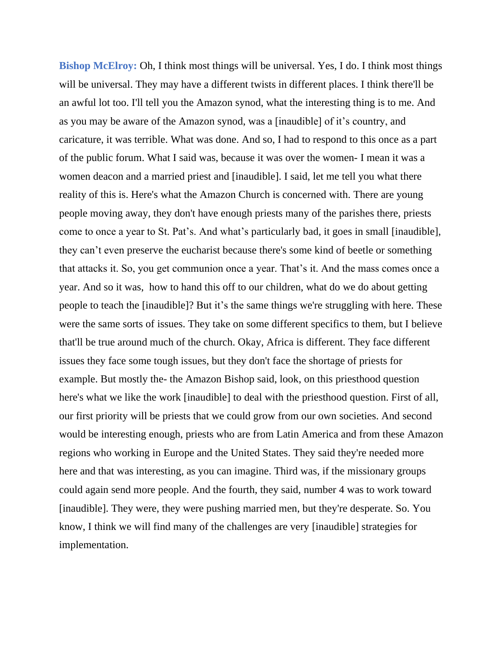**Bishop McElroy:** Oh, I think most things will be universal. Yes, I do. I think most things will be universal. They may have a different twists in different places. I think there'll be an awful lot too. I'll tell you the Amazon synod, what the interesting thing is to me. And as you may be aware of the Amazon synod, was a [inaudible] of it's country, and caricature, it was terrible. What was done. And so, I had to respond to this once as a part of the public forum. What I said was, because it was over the women- I mean it was a women deacon and a married priest and [inaudible]. I said, let me tell you what there reality of this is. Here's what the Amazon Church is concerned with. There are young people moving away, they don't have enough priests many of the parishes there, priests come to once a year to St. Pat's. And what's particularly bad, it goes in small [inaudible], they can't even preserve the eucharist because there's some kind of beetle or something that attacks it. So, you get communion once a year. That's it. And the mass comes once a year. And so it was, how to hand this off to our children, what do we do about getting people to teach the [inaudible]? But it's the same things we're struggling with here. These were the same sorts of issues. They take on some different specifics to them, but I believe that'll be true around much of the church. Okay, Africa is different. They face different issues they face some tough issues, but they don't face the shortage of priests for example. But mostly the- the Amazon Bishop said, look, on this priesthood question here's what we like the work [inaudible] to deal with the priesthood question. First of all, our first priority will be priests that we could grow from our own societies. And second would be interesting enough, priests who are from Latin America and from these Amazon regions who working in Europe and the United States. They said they're needed more here and that was interesting, as you can imagine. Third was, if the missionary groups could again send more people. And the fourth, they said, number 4 was to work toward [inaudible]. They were, they were pushing married men, but they're desperate. So. You know, I think we will find many of the challenges are very [inaudible] strategies for implementation.